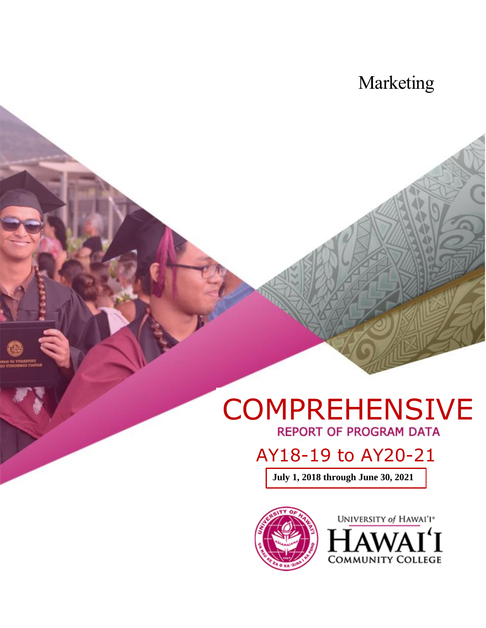## Marketing

# COMPREHENSIVE

## AY18-19 to AY20-21

**July 1, 2018 through June 30, 2021**



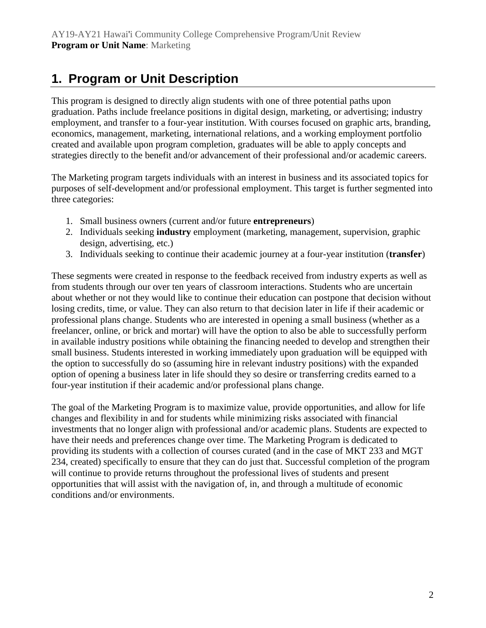## **1. Program or Unit Description**

This program is designed to directly align students with one of three potential paths upon graduation. Paths include freelance positions in digital design, marketing, or advertising; industry employment, and transfer to a four-year institution. With courses focused on graphic arts, branding, economics, management, marketing, international relations, and a working employment portfolio created and available upon program completion, graduates will be able to apply concepts and strategies directly to the benefit and/or advancement of their professional and/or academic careers.

The Marketing program targets individuals with an interest in business and its associated topics for purposes of self-development and/or professional employment. This target is further segmented into three categories:

- 1. Small business owners (current and/or future **entrepreneurs**)
- 2. Individuals seeking **industry** employment (marketing, management, supervision, graphic design, advertising, etc.)
- 3. Individuals seeking to continue their academic journey at a four-year institution (**transfer**)

These segments were created in response to the feedback received from industry experts as well as from students through our over ten years of classroom interactions. Students who are uncertain about whether or not they would like to continue their education can postpone that decision without losing credits, time, or value. They can also return to that decision later in life if their academic or professional plans change. Students who are interested in opening a small business (whether as a freelancer, online, or brick and mortar) will have the option to also be able to successfully perform in available industry positions while obtaining the financing needed to develop and strengthen their small business. Students interested in working immediately upon graduation will be equipped with the option to successfully do so (assuming hire in relevant industry positions) with the expanded option of opening a business later in life should they so desire or transferring credits earned to a four-year institution if their academic and/or professional plans change.

The goal of the Marketing Program is to maximize value, provide opportunities, and allow for life changes and flexibility in and for students while minimizing risks associated with financial investments that no longer align with professional and/or academic plans. Students are expected to have their needs and preferences change over time. The Marketing Program is dedicated to providing its students with a collection of courses curated (and in the case of MKT 233 and MGT 234, created) specifically to ensure that they can do just that. Successful completion of the program will continue to provide returns throughout the professional lives of students and present opportunities that will assist with the navigation of, in, and through a multitude of economic conditions and/or environments.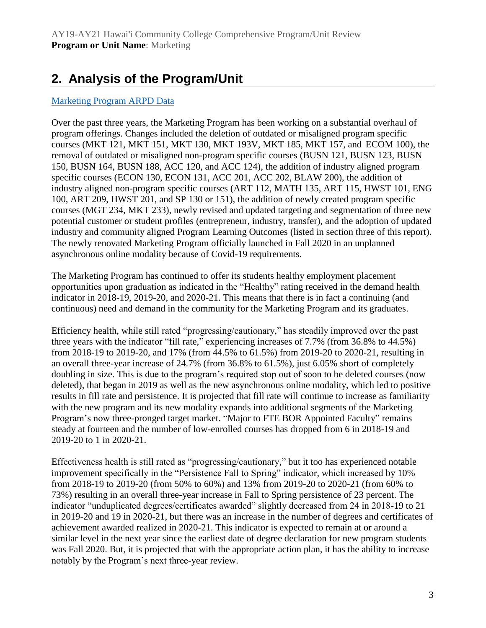## **2. Analysis of the Program/Unit**

#### [Marketing Program ARPD Data](https://uhcc.hawaii.edu/varpd/index.php?y=2021&c=HAW&t=CTE&p=2327)

Over the past three years, the Marketing Program has been working on a substantial overhaul of program offerings. Changes included the deletion of outdated or misaligned program specific courses (MKT 121, MKT 151, MKT 130, MKT 193V, MKT 185, MKT 157, and ECOM 100), the removal of outdated or misaligned non-program specific courses (BUSN 121, BUSN 123, BUSN 150, BUSN 164, BUSN 188, ACC 120, and ACC 124), the addition of industry aligned program specific courses (ECON 130, ECON 131, ACC 201, ACC 202, BLAW 200), the addition of industry aligned non-program specific courses (ART 112, MATH 135, ART 115, HWST 101, ENG 100, ART 209, HWST 201, and SP 130 or 151), the addition of newly created program specific courses (MGT 234, MKT 233), newly revised and updated targeting and segmentation of three new potential customer or student profiles (entrepreneur, industry, transfer), and the adoption of updated industry and community aligned Program Learning Outcomes (listed in section three of this report). The newly renovated Marketing Program officially launched in Fall 2020 in an unplanned asynchronous online modality because of Covid-19 requirements.

The Marketing Program has continued to offer its students healthy employment placement opportunities upon graduation as indicated in the "Healthy" rating received in the demand health indicator in 2018-19, 2019-20, and 2020-21. This means that there is in fact a continuing (and continuous) need and demand in the community for the Marketing Program and its graduates.

Efficiency health, while still rated "progressing/cautionary," has steadily improved over the past three years with the indicator "fill rate," experiencing increases of 7.7% (from 36.8% to 44.5%) from 2018-19 to 2019-20, and 17% (from 44.5% to 61.5%) from 2019-20 to 2020-21, resulting in an overall three-year increase of 24.7% (from 36.8% to 61.5%), just 6.05% short of completely doubling in size. This is due to the program's required stop out of soon to be deleted courses (now deleted), that began in 2019 as well as the new asynchronous online modality, which led to positive results in fill rate and persistence. It is projected that fill rate will continue to increase as familiarity with the new program and its new modality expands into additional segments of the Marketing Program's now three-pronged target market. "Major to FTE BOR Appointed Faculty" remains steady at fourteen and the number of low-enrolled courses has dropped from 6 in 2018-19 and 2019-20 to 1 in 2020-21.

Effectiveness health is still rated as "progressing/cautionary," but it too has experienced notable improvement specifically in the "Persistence Fall to Spring" indicator, which increased by 10% from 2018-19 to 2019-20 (from 50% to 60%) and 13% from 2019-20 to 2020-21 (from 60% to 73%) resulting in an overall three-year increase in Fall to Spring persistence of 23 percent. The indicator "unduplicated degrees/certificates awarded" slightly decreased from 24 in 2018-19 to 21 in 2019-20 and 19 in 2020-21, but there was an increase in the number of degrees and certificates of achievement awarded realized in 2020-21. This indicator is expected to remain at or around a similar level in the next year since the earliest date of degree declaration for new program students was Fall 2020. But, it is projected that with the appropriate action plan, it has the ability to increase notably by the Program's next three-year review.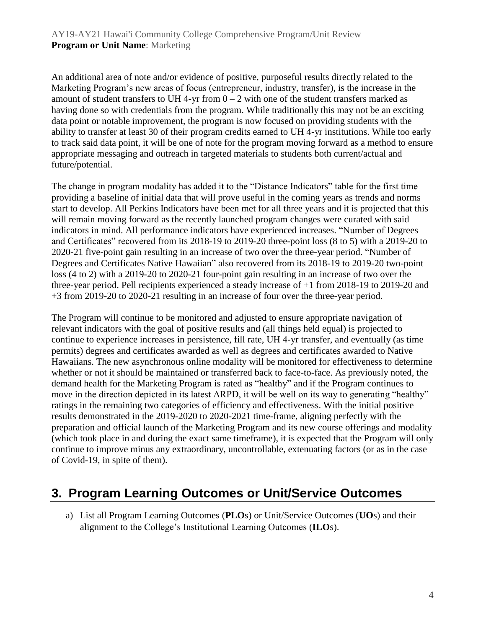An additional area of note and/or evidence of positive, purposeful results directly related to the Marketing Program's new areas of focus (entrepreneur, industry, transfer), is the increase in the amount of student transfers to UH 4-yr from  $0 - 2$  with one of the student transfers marked as having done so with credentials from the program. While traditionally this may not be an exciting data point or notable improvement, the program is now focused on providing students with the ability to transfer at least 30 of their program credits earned to UH 4-yr institutions. While too early to track said data point, it will be one of note for the program moving forward as a method to ensure appropriate messaging and outreach in targeted materials to students both current/actual and future/potential.

The change in program modality has added it to the "Distance Indicators" table for the first time providing a baseline of initial data that will prove useful in the coming years as trends and norms start to develop. All Perkins Indicators have been met for all three years and it is projected that this will remain moving forward as the recently launched program changes were curated with said indicators in mind. All performance indicators have experienced increases. "Number of Degrees and Certificates" recovered from its 2018-19 to 2019-20 three-point loss (8 to 5) with a 2019-20 to 2020-21 five-point gain resulting in an increase of two over the three-year period. "Number of Degrees and Certificates Native Hawaiian" also recovered from its 2018-19 to 2019-20 two-point loss (4 to 2) with a 2019-20 to 2020-21 four-point gain resulting in an increase of two over the three-year period. Pell recipients experienced a steady increase of +1 from 2018-19 to 2019-20 and +3 from 2019-20 to 2020-21 resulting in an increase of four over the three-year period.

The Program will continue to be monitored and adjusted to ensure appropriate navigation of relevant indicators with the goal of positive results and (all things held equal) is projected to continue to experience increases in persistence, fill rate, UH 4-yr transfer, and eventually (as time permits) degrees and certificates awarded as well as degrees and certificates awarded to Native Hawaiians. The new asynchronous online modality will be monitored for effectiveness to determine whether or not it should be maintained or transferred back to face-to-face. As previously noted, the demand health for the Marketing Program is rated as "healthy" and if the Program continues to move in the direction depicted in its latest ARPD, it will be well on its way to generating "healthy" ratings in the remaining two categories of efficiency and effectiveness. With the initial positive results demonstrated in the 2019-2020 to 2020-2021 time-frame, aligning perfectly with the preparation and official launch of the Marketing Program and its new course offerings and modality (which took place in and during the exact same timeframe), it is expected that the Program will only continue to improve minus any extraordinary, uncontrollable, extenuating factors (or as in the case of Covid-19, in spite of them).

## **3. Program Learning Outcomes or Unit/Service Outcomes**

a) List all Program Learning Outcomes (**PLO**s) or Unit/Service Outcomes (**UO**s) and their alignment to the College's Institutional Learning Outcomes (**ILO**s).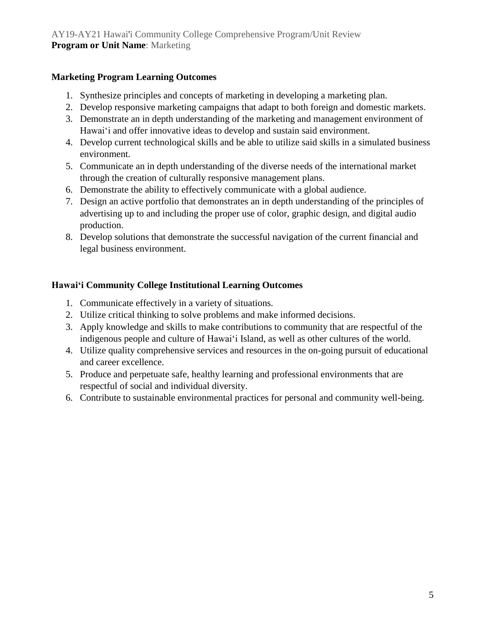#### **Marketing Program Learning Outcomes**

- 1. Synthesize principles and concepts of marketing in developing a marketing plan.
- 2. Develop responsive marketing campaigns that adapt to both foreign and domestic markets.
- 3. Demonstrate an in depth understanding of the marketing and management environment of Hawaiʻi and offer innovative ideas to develop and sustain said environment.
- 4. Develop current technological skills and be able to utilize said skills in a simulated business environment.
- 5. Communicate an in depth understanding of the diverse needs of the international market through the creation of culturally responsive management plans.
- 6. Demonstrate the ability to effectively communicate with a global audience.
- 7. Design an active portfolio that demonstrates an in depth understanding of the principles of advertising up to and including the proper use of color, graphic design, and digital audio production.
- 8. Develop solutions that demonstrate the successful navigation of the current financial and legal business environment.

#### **Hawaiʻi Community College Institutional Learning Outcomes**

- 1. Communicate effectively in a variety of situations.
- 2. Utilize critical thinking to solve problems and make informed decisions.
- 3. Apply knowledge and skills to make contributions to community that are respectful of the indigenous people and culture of Hawaiʻi Island, as well as other cultures of the world.
- 4. Utilize quality comprehensive services and resources in the on-going pursuit of educational and career excellence.
- 5. Produce and perpetuate safe, healthy learning and professional environments that are respectful of social and individual diversity.
- 6. Contribute to sustainable environmental practices for personal and community well-being.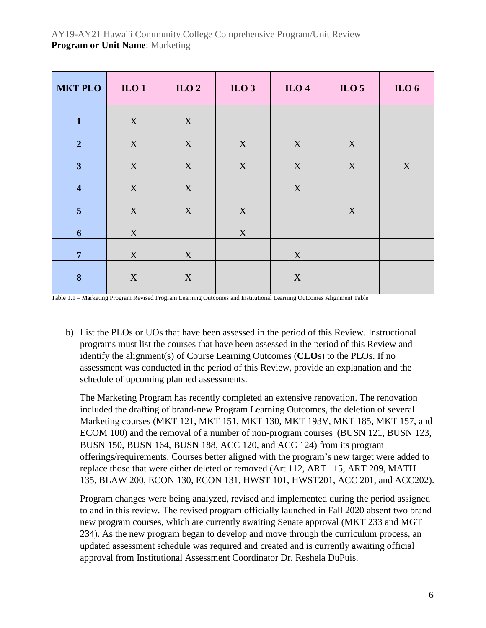| <b>MKT PLO</b>          | $II$ $0$ $1$ | $\mathbf{ILO}$ 2          | $\mathbf{ILO}$ 3 | $_{\text{ILO}}$ 4         | ILO $5$                   | ILO $6$ |
|-------------------------|--------------|---------------------------|------------------|---------------------------|---------------------------|---------|
| $\mathbf{1}$            | X            | X                         |                  |                           |                           |         |
| 2 <sup>1</sup>          | $\mathbf X$  | $\mathbf X$               | $\mathbf X$      | X                         | $\boldsymbol{\mathrm{X}}$ |         |
| 3                       | X            | $\boldsymbol{\mathrm{X}}$ | $\mathbf X$      | $\boldsymbol{\mathrm{X}}$ | X                         | X       |
| $\overline{\mathbf{4}}$ | X            | $\boldsymbol{\mathrm{X}}$ |                  | $\boldsymbol{\mathrm{X}}$ |                           |         |
| 5 <sup>5</sup>          | $\mathbf X$  | $\mathbf X$               | $\mathbf X$      |                           | $\mathbf X$               |         |
| $\boldsymbol{6}$        | $\mathbf X$  |                           | $\mathbf X$      |                           |                           |         |
| $\overline{7}$          | $\mathbf X$  | $\mathbf X$               |                  | $\mathbf X$               |                           |         |
| $\bf{8}$                | $\mathbf X$  | $\mathbf X$               |                  | $\mathbf X$               |                           |         |
|                         |              |                           |                  |                           |                           |         |

Table 1.1 – Marketing Program Revised Program Learning Outcomes and Institutional Learning Outcomes Alignment Table

b) List the PLOs or UOs that have been assessed in the period of this Review. Instructional programs must list the courses that have been assessed in the period of this Review and identify the alignment(s) of Course Learning Outcomes (**CLO**s) to the PLOs. If no assessment was conducted in the period of this Review, provide an explanation and the schedule of upcoming planned assessments.

The Marketing Program has recently completed an extensive renovation. The renovation included the drafting of brand-new Program Learning Outcomes, the deletion of several Marketing courses (MKT 121, MKT 151, MKT 130, MKT 193V, MKT 185, MKT 157, and ECOM 100) and the removal of a number of non-program courses (BUSN 121, BUSN 123, BUSN 150, BUSN 164, BUSN 188, ACC 120, and ACC 124) from its program offerings/requirements. Courses better aligned with the program's new target were added to replace those that were either deleted or removed (Art 112, ART 115, ART 209, MATH 135, BLAW 200, ECON 130, ECON 131, HWST 101, HWST201, ACC 201, and ACC202).

Program changes were being analyzed, revised and implemented during the period assigned to and in this review. The revised program officially launched in Fall 2020 absent two brand new program courses, which are currently awaiting Senate approval (MKT 233 and MGT 234). As the new program began to develop and move through the curriculum process, an updated assessment schedule was required and created and is currently awaiting official approval from Institutional Assessment Coordinator Dr. Reshela DuPuis.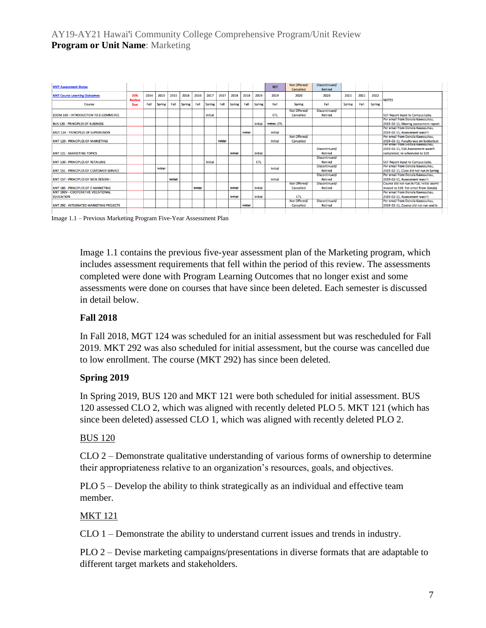| <b>MKT Assessment Status</b>                          |               |      |               |         |               |         |         |                |         |         |                | <b>KEY</b>     | Not Offered/<br>Cancelled | Discontinued/<br>Retired        |        |      |               |                                                                                                         |
|-------------------------------------------------------|---------------|------|---------------|---------|---------------|---------|---------|----------------|---------|---------|----------------|----------------|---------------------------|---------------------------------|--------|------|---------------|---------------------------------------------------------------------------------------------------------|
| <b>MKT Course Learning Outcomes</b>                   | 20%<br>Review | 2014 | 2015          | 2015    | 2016          | 2016    | 2017    | 2017           | 2018    | 2018    | 2019           | 2019           | 2020                      | 2020                            | 2021   | 2021 | 2022          | <b>NOTES</b>                                                                                            |
| Course                                                | Due           | Fall | <b>Spring</b> | Fall    | <b>Spring</b> | Fall    | Spring  | Fall           | Spring  | Fall    | Spring         | Fall           | Spring                    | Fall                            | Spring | Fall | <b>Spring</b> |                                                                                                         |
| ECOM 100 - INTRODUCTION TO E-COMMERCE                 |               |      |               |         |               |         | Initial |                |         |         |                | <b>CTL</b>     | Not Offered/<br>Cancelled | Discontinued/<br>Retired        |        |      |               | <b>S17 Report input to Campus Labs.</b>                                                                 |
| <b>BUS 120 - PRINCIPLES OF BUSINESS</b>               |               |      |               |         |               |         |         |                |         |         | <b>Initial</b> | Initial, CTL   |                           |                                 |        |      |               | Per email from Donala Kawaauhau,<br>2019-02-11. Moving assessment report                                |
| MGT 124 - PRINCIPLES OF SUPERVISION                   |               |      |               |         |               |         |         |                |         | Initial |                | Initial        |                           |                                 |        |      |               | Per email from Donala Kawaauhau,<br>2019-02-11, Assessment wasn't                                       |
| MKT 120 - PRINCIPLES OF MARKETING                     |               |      |               |         |               |         |         | <b>Initial</b> |         |         |                | <b>Initial</b> | Not Offered/<br>Cancelled |                                 |        |      |               | Per email from Donala Kawaauhau,<br>2019-02-11. Faculty was on Sabbatical.                              |
| <b>MKT 121 - MARKETING TOPICS</b>                     |               |      |               |         |               |         |         |                | Initial |         | Initial        |                |                           | Discontinued/<br>Retired        |        |      |               | Per email from Donala Kawaaunau,<br>2019-02-11, S18 Assessment wasn't<br>completed: re-scheduled to S19 |
| MKT 130 - PRINCIPLES OF RETAILING                     |               |      |               |         |               |         | Initial |                |         |         | <b>CTL</b>     |                |                           | Discontinued/<br>Retired        |        |      |               | S17 Report input to Campus Labs.                                                                        |
| MKT 151 - PRINCIPLES OF CUSTOMER SERVICE              |               |      | Initial       |         |               |         |         |                |         |         |                | Initial        |                           | Discontinued/<br><b>Retired</b> |        |      |               | Per email from Donala Kawaauhau.<br>2019-02-11, Class did not run in Spring                             |
| MKT 157 - PRINCIPLES OF WEB DESIGN I                  |               |      |               | tnitial |               |         |         |                |         |         |                | Initial        |                           | Discontinued/<br><b>Retired</b> |        |      |               | Per email from Donala Kawaauhau.<br>2019-02-11, Assessment wasn't                                       |
| MKT 185 - PRINCIPLES OF E-MARKETING                   |               |      |               |         |               | Initial |         |                | Initial |         | Initial        |                | Not Offered/<br>Cancelled | Discontinued/<br><b>Retired</b> |        |      |               | Course did not run in F16; Initial assmt<br>moved to S18. Per email from Donala                         |
| MKT 193V - COOPERATIVE VOCATIONAL<br><b>EDUCATION</b> |               |      |               |         |               |         |         |                | Initial |         | Initial        |                | <b>CTL</b>                |                                 |        |      |               | Per email from Donala Kawaauhau,<br>2019-02-11. Assessment wasn't                                       |
| MKT 292 - INTEGRATED MARKETING PROJECTS               |               |      |               |         |               |         |         |                |         | Initial |                |                | Not Offered/<br>Cancelled | <b>Discontinued/</b><br>Retired |        |      |               | Per email from Donala Kawaauhau,<br>2019-02-11. Course did not run and is                               |
|                                                       |               |      |               |         |               |         |         |                |         |         |                |                |                           |                                 |        |      |               |                                                                                                         |

Image 1.1 – Previous Marketing Program Five-Year Assessment Plan

Image 1.1 contains the previous five-year assessment plan of the Marketing program, which includes assessment requirements that fell within the period of this review. The assessments completed were done with Program Learning Outcomes that no longer exist and some assessments were done on courses that have since been deleted. Each semester is discussed in detail below.

#### **Fall 2018**

In Fall 2018, MGT 124 was scheduled for an initial assessment but was rescheduled for Fall 2019. MKT 292 was also scheduled for initial assessment, but the course was cancelled due to low enrollment. The course (MKT 292) has since been deleted.

#### **Spring 2019**

In Spring 2019, BUS 120 and MKT 121 were both scheduled for initial assessment. BUS 120 assessed CLO 2, which was aligned with recently deleted PLO 5. MKT 121 (which has since been deleted) assessed CLO 1, which was aligned with recently deleted PLO 2.

#### BUS 120

CLO 2 – Demonstrate qualitative understanding of various forms of ownership to determine their appropriateness relative to an organization's resources, goals, and objectives.

PLO 5 – Develop the ability to think strategically as an individual and effective team member.

#### MKT 121

CLO 1 – Demonstrate the ability to understand current issues and trends in industry.

PLO 2 – Devise marketing campaigns/presentations in diverse formats that are adaptable to different target markets and stakeholders.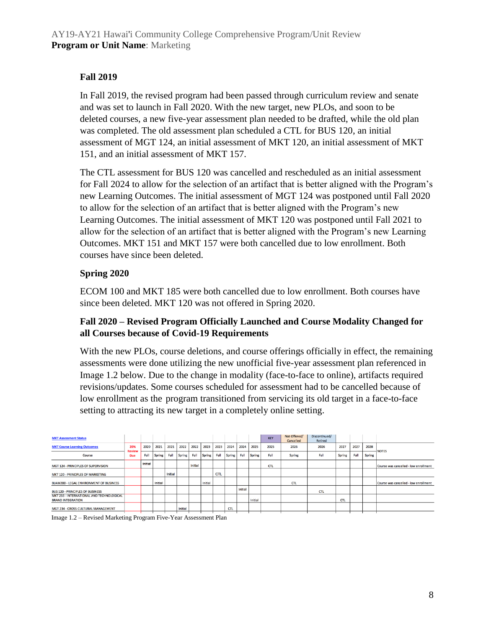#### **Fall 2019**

In Fall 2019, the revised program had been passed through curriculum review and senate and was set to launch in Fall 2020. With the new target, new PLOs, and soon to be deleted courses, a new five-year assessment plan needed to be drafted, while the old plan was completed. The old assessment plan scheduled a CTL for BUS 120, an initial assessment of MGT 124, an initial assessment of MKT 120, an initial assessment of MKT 151, and an initial assessment of MKT 157.

The CTL assessment for BUS 120 was cancelled and rescheduled as an initial assessment for Fall 2024 to allow for the selection of an artifact that is better aligned with the Program's new Learning Outcomes. The initial assessment of MGT 124 was postponed until Fall 2020 to allow for the selection of an artifact that is better aligned with the Program's new Learning Outcomes. The initial assessment of MKT 120 was postponed until Fall 2021 to allow for the selection of an artifact that is better aligned with the Program's new Learning Outcomes. MKT 151 and MKT 157 were both cancelled due to low enrollment. Both courses have since been deleted.

#### **Spring 2020**

ECOM 100 and MKT 185 were both cancelled due to low enrollment. Both courses have since been deleted. MKT 120 was not offered in Spring 2020.

#### **Fall 2020 – Revised Program Officially Launched and Course Modality Changed for all Courses because of Covid-19 Requirements**

With the new PLOs, course deletions, and course offerings officially in effect, the remaining assessments were done utilizing the new unofficial five-year assessment plan referenced in Image 1.2 below. Due to the change in modality (face-to-face to online), artifacts required revisions/updates. Some courses scheduled for assessment had to be cancelled because of low enrollment as the program transitioned from servicing its old target in a face-to-face setting to attracting its new target in a completely online setting.

| <b>MKT Assessment Status</b>                                          |                      |                |         |         |               |         |         |            |            |         |         | <b>KEY</b> | Not Offered/<br>Cancelled | Discontinued/<br>Retired |               |      |        |                                       |
|-----------------------------------------------------------------------|----------------------|----------------|---------|---------|---------------|---------|---------|------------|------------|---------|---------|------------|---------------------------|--------------------------|---------------|------|--------|---------------------------------------|
| <b>MKT Course Learning Outcomes</b>                                   | 20%<br><b>Review</b> | 2020           | 2021    | 2021    | 2022          | 2022    | 2023    | 2023       | 2024       | 2024    | 2025    | 2025       | 2026                      | 2026                     | 2027          | 2027 | 2028   | <b>NOTES</b>                          |
| Course                                                                | <b>Due</b>           | Fall           | Spring  | Fall    | <b>Spring</b> | Fall    | Spring  | Fall       | Spring     | Fall    | Spring  | Fall       | Spring                    | Fall                     | <b>Spring</b> | Fall | Spring |                                       |
| MGT 124 - PRINCIPLES OF SUPERVISION                                   |                      | <b>Initial</b> |         |         |               | Initial |         |            |            |         |         | <b>CTL</b> |                           |                          |               |      |        | Course was cancelled - low enrollment |
| MKT 120 - PRINCIPLES OF MARKETING                                     |                      |                |         | Initial |               |         |         | <b>CTL</b> |            |         |         |            |                           |                          |               |      |        |                                       |
| BLAW200 - LEGAL ENVIRONMENT OF BUSINESS                               |                      |                | Initial |         |               |         | Initial |            |            |         |         |            | <b>CTL</b>                |                          |               |      |        | Course was cancelled - low enrollment |
| <b>BUS 120 - PRINCIPLES OF BUSINESS</b>                               |                      |                |         |         |               |         |         |            |            | Initial |         |            |                           | <b>CTL</b>               |               |      |        |                                       |
| MKT 233 - INTERNATIONAL AND TECHNOLOGICAL<br><b>BRAND INTEGRATION</b> |                      |                |         |         |               |         |         |            |            |         | Initial |            |                           |                          | <b>CTL</b>    |      |        |                                       |
| MGT 234 - CROSS-CULTURAL MANAGEMENT                                   |                      |                |         |         | Initial       |         |         |            | <b>CTL</b> |         |         |            |                           |                          |               |      |        |                                       |
|                                                                       |                      |                |         |         |               |         |         |            |            |         |         |            |                           |                          |               |      |        |                                       |

Image 1.2 – Revised Marketing Program Five-Year Assessment Plan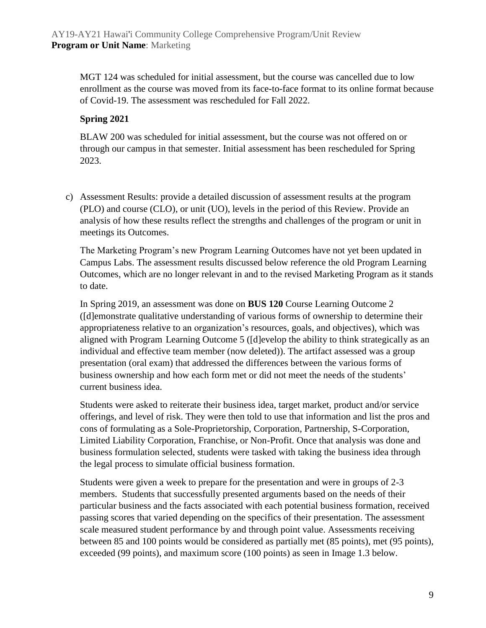MGT 124 was scheduled for initial assessment, but the course was cancelled due to low enrollment as the course was moved from its face-to-face format to its online format because of Covid-19. The assessment was rescheduled for Fall 2022.

#### **Spring 2021**

BLAW 200 was scheduled for initial assessment, but the course was not offered on or through our campus in that semester. Initial assessment has been rescheduled for Spring 2023.

c) Assessment Results: provide a detailed discussion of assessment results at the program (PLO) and course (CLO), or unit (UO), levels in the period of this Review. Provide an analysis of how these results reflect the strengths and challenges of the program or unit in meetings its Outcomes.

The Marketing Program's new Program Learning Outcomes have not yet been updated in Campus Labs. The assessment results discussed below reference the old Program Learning Outcomes, which are no longer relevant in and to the revised Marketing Program as it stands to date.

In Spring 2019, an assessment was done on **BUS 120** Course Learning Outcome 2 ([d]emonstrate qualitative understanding of various forms of ownership to determine their appropriateness relative to an organization's resources, goals, and objectives), which was aligned with Program Learning Outcome 5 ([d]evelop the ability to think strategically as an individual and effective team member (now deleted)). The artifact assessed was a group presentation (oral exam) that addressed the differences between the various forms of business ownership and how each form met or did not meet the needs of the students' current business idea.

Students were asked to reiterate their business idea, target market, product and/or service offerings, and level of risk. They were then told to use that information and list the pros and cons of formulating as a Sole-Proprietorship, Corporation, Partnership, S-Corporation, Limited Liability Corporation, Franchise, or Non-Profit. Once that analysis was done and business formulation selected, students were tasked with taking the business idea through the legal process to simulate official business formation.

Students were given a week to prepare for the presentation and were in groups of 2-3 members. Students that successfully presented arguments based on the needs of their particular business and the facts associated with each potential business formation, received passing scores that varied depending on the specifics of their presentation. The assessment scale measured student performance by and through point value. Assessments receiving between 85 and 100 points would be considered as partially met (85 points), met (95 points), exceeded (99 points), and maximum score (100 points) as seen in Image 1.3 below.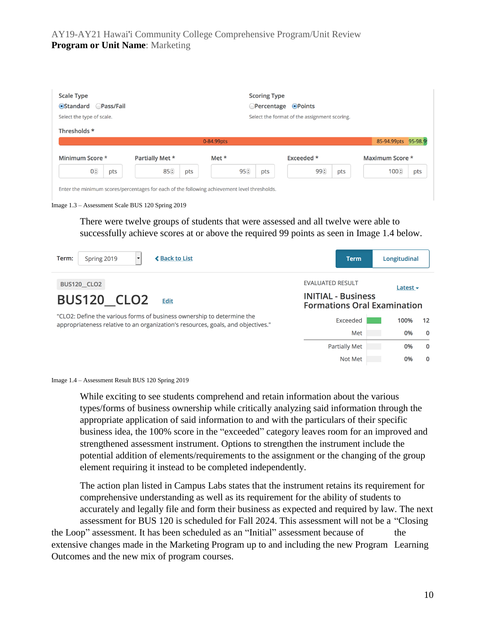| <b>Scale Type</b><br>•Standard Pass/Fail<br>Select the type of scale. |                                                                                              | <b>Scoring Type</b><br><b>OPercentage</b> | $\odot$ Points<br>Select the format of the assignment scoring. |                      |
|-----------------------------------------------------------------------|----------------------------------------------------------------------------------------------|-------------------------------------------|----------------------------------------------------------------|----------------------|
| Thresholds *                                                          |                                                                                              | 0-84.99pts                                |                                                                | 85-94.99pts 95-98.99 |
| Minimum Score *                                                       | Partially Met *                                                                              | Met *                                     | Exceeded *                                                     | Maximum Score *      |
| $0\left(\frac{1}{r}\right)$<br>pts                                    | 85()<br>pts                                                                                  | 95 <sup>(2)</sup><br>pts                  | 99 F<br>pts                                                    | 100(<br>pts          |
|                                                                       | Enter the minimum scores/percentages for each of the following achievement level thresholds. |                                           |                                                                |                      |

There were twelve groups of students that were assessed and all twelve were able to successfully achieve scores at or above the required 99 points as seen in Image 1.4 below.

| <b>≮ Back to List</b><br>Spring 2019<br>Term:<br>$\overline{\phantom{a}}$                                                                                  | <b>Term</b>                                                     | Longitudinal              |
|------------------------------------------------------------------------------------------------------------------------------------------------------------|-----------------------------------------------------------------|---------------------------|
| <b>BUS120_CLO2</b>                                                                                                                                         | <b>EVALUATED RESULT</b>                                         | Latest $\sim$             |
| <b>BUS120 CLO2</b><br><b>Edit</b>                                                                                                                          | <b>INITIAL - Business</b><br><b>Formations Oral Examination</b> |                           |
| "CLO2: Define the various forms of business ownership to determine the<br>appropriateness relative to an organization's resources, goals, and objectives." | Exceeded                                                        | 100%<br>$12 \overline{ }$ |
|                                                                                                                                                            | Met                                                             | $\mathbf{0}$<br>0%        |
|                                                                                                                                                            | <b>Partially Met</b>                                            | $\mathbf 0$<br>0%         |
|                                                                                                                                                            | Not Met                                                         | 0<br>0%                   |



While exciting to see students comprehend and retain information about the various types/forms of business ownership while critically analyzing said information through the appropriate application of said information to and with the particulars of their specific business idea, the 100% score in the "exceeded" category leaves room for an improved and strengthened assessment instrument. Options to strengthen the instrument include the potential addition of elements/requirements to the assignment or the changing of the group element requiring it instead to be completed independently.

The action plan listed in Campus Labs states that the instrument retains its requirement for comprehensive understanding as well as its requirement for the ability of students to accurately and legally file and form their business as expected and required by law. The next assessment for BUS 120 is scheduled for Fall 2024. This assessment will not be a "Closing the Loop" assessment. It has been scheduled as an "Initial" assessment because of the extensive changes made in the Marketing Program up to and including the new Program Learning

Outcomes and the new mix of program courses.

Image 1.3 – Assessment Scale BUS 120 Spring 2019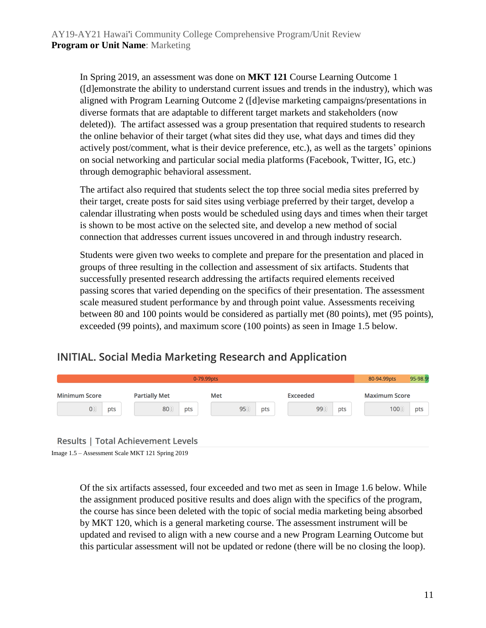In Spring 2019, an assessment was done on **MKT 121** Course Learning Outcome 1 ([d]emonstrate the ability to understand current issues and trends in the industry), which was aligned with Program Learning Outcome 2 ([d]evise marketing campaigns/presentations in diverse formats that are adaptable to different target markets and stakeholders (now deleted)). The artifact assessed was a group presentation that required students to research the online behavior of their target (what sites did they use, what days and times did they actively post/comment, what is their device preference, etc.), as well as the targets' opinions on social networking and particular social media platforms (Facebook, Twitter, IG, etc.) through demographic behavioral assessment.

The artifact also required that students select the top three social media sites preferred by their target, create posts for said sites using verbiage preferred by their target, develop a calendar illustrating when posts would be scheduled using days and times when their target is shown to be most active on the selected site, and develop a new method of social connection that addresses current issues uncovered in and through industry research.

Students were given two weeks to complete and prepare for the presentation and placed in groups of three resulting in the collection and assessment of six artifacts. Students that successfully presented research addressing the artifacts required elements received passing scores that varied depending on the specifics of their presentation. The assessment scale measured student performance by and through point value. Assessments receiving between 80 and 100 points would be considered as partially met (80 points), met (95 points), exceeded (99 points), and maximum score (100 points) as seen in Image 1.5 below.

### **INITIAL. Social Media Marketing Research and Application**

|                      | 0-79.99pts |                                           |     |            |      |     |                 |      |     |  |                      |     |
|----------------------|------------|-------------------------------------------|-----|------------|------|-----|-----------------|------|-----|--|----------------------|-----|
| <b>Minimum Score</b> |            | <b>Partially Met</b>                      |     | <b>Met</b> |      |     | <b>Exceeded</b> |      |     |  | <b>Maximum Score</b> |     |
| $0^{\circ}$          | pts        | 80(                                       | pts |            | 95() | pts |                 | 99 € | pts |  | 100(                 | pts |
|                      |            | <b>Results   Total Achievement Levels</b> |     |            |      |     |                 |      |     |  |                      |     |

Image 1.5 – Assessment Scale MKT 121 Spring 2019

Of the six artifacts assessed, four exceeded and two met as seen in Image 1.6 below. While the assignment produced positive results and does align with the specifics of the program, the course has since been deleted with the topic of social media marketing being absorbed by MKT 120, which is a general marketing course. The assessment instrument will be updated and revised to align with a new course and a new Program Learning Outcome but this particular assessment will not be updated or redone (there will be no closing the loop).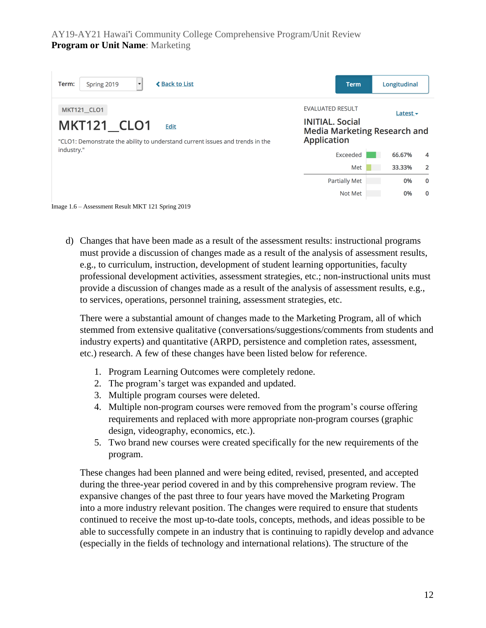| <b>≮ Back to List</b><br>Spring 2019<br>Term:                                                                                            | <b>Term</b>                                                                                                    | Longitudinal  |                |
|------------------------------------------------------------------------------------------------------------------------------------------|----------------------------------------------------------------------------------------------------------------|---------------|----------------|
| <b>MKT121 CLO1</b><br><b>MKT121 CLO1</b><br><b>Edit</b><br>"CLO1: Demonstrate the ability to understand current issues and trends in the | <b>EVALUATED RESULT</b><br><b>INITIAL, Social</b><br><b>Media Marketing Research and</b><br><b>Application</b> | Latest $\sim$ |                |
| industry."                                                                                                                               | Exceeded                                                                                                       | 66.67%        | 4              |
|                                                                                                                                          | Met                                                                                                            | 33.33%        | $\overline{2}$ |
|                                                                                                                                          | <b>Partially Met</b>                                                                                           | 0%            | $\mathbf{0}$   |
|                                                                                                                                          | Not Met                                                                                                        | 0%            | $\mathbf 0$    |
| Image 1.6 – Assessment Result MKT 121 Spring 2019                                                                                        |                                                                                                                |               |                |

d) Changes that have been made as a result of the assessment results: instructional programs must provide a discussion of changes made as a result of the analysis of assessment results, e.g., to curriculum, instruction, development of student learning opportunities, faculty professional development activities, assessment strategies, etc.; non-instructional units must provide a discussion of changes made as a result of the analysis of assessment results, e.g., to services, operations, personnel training, assessment strategies, etc.

There were a substantial amount of changes made to the Marketing Program, all of which stemmed from extensive qualitative (conversations/suggestions/comments from students and industry experts) and quantitative (ARPD, persistence and completion rates, assessment, etc.) research. A few of these changes have been listed below for reference.

- 1. Program Learning Outcomes were completely redone.
- 2. The program's target was expanded and updated.
- 3. Multiple program courses were deleted.
- 4. Multiple non-program courses were removed from the program's course offering requirements and replaced with more appropriate non-program courses (graphic design, videography, economics, etc.).
- 5. Two brand new courses were created specifically for the new requirements of the program.

These changes had been planned and were being edited, revised, presented, and accepted during the three-year period covered in and by this comprehensive program review. The expansive changes of the past three to four years have moved the Marketing Program into a more industry relevant position. The changes were required to ensure that students continued to receive the most up-to-date tools, concepts, methods, and ideas possible to be able to successfully compete in an industry that is continuing to rapidly develop and advance (especially in the fields of technology and international relations). The structure of the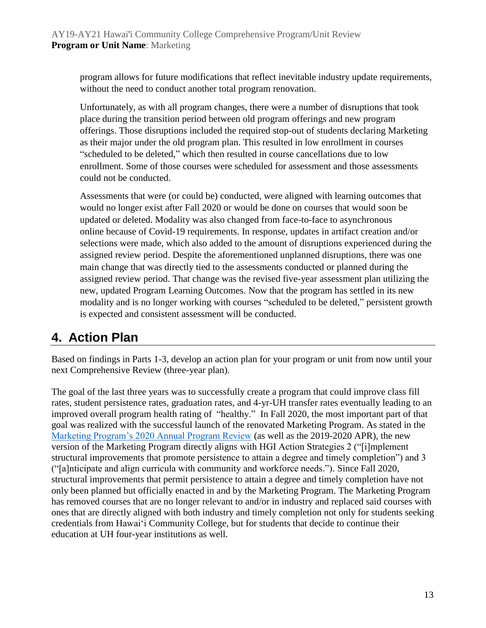program allows for future modifications that reflect inevitable industry update requirements, without the need to conduct another total program renovation.

Unfortunately, as with all program changes, there were a number of disruptions that took place during the transition period between old program offerings and new program offerings. Those disruptions included the required stop-out of students declaring Marketing as their major under the old program plan. This resulted in low enrollment in courses "scheduled to be deleted," which then resulted in course cancellations due to low enrollment. Some of those courses were scheduled for assessment and those assessments could not be conducted.

Assessments that were (or could be) conducted, were aligned with learning outcomes that would no longer exist after Fall 2020 or would be done on courses that would soon be updated or deleted. Modality was also changed from face-to-face to asynchronous online because of Covid-19 requirements. In response, updates in artifact creation and/or selections were made, which also added to the amount of disruptions experienced during the assigned review period. Despite the aforementioned unplanned disruptions, there was one main change that was directly tied to the assessments conducted or planned during the assigned review period. That change was the revised five-year assessment plan utilizing the new, updated Program Learning Outcomes. Now that the program has settled in its new modality and is no longer working with courses "scheduled to be deleted," persistent growth is expected and consistent assessment will be conducted.

## **4. Action Plan**

Based on findings in Parts 1-3, develop an action plan for your program or unit from now until your next Comprehensive Review (three-year plan).

The goal of the last three years was to successfully create a program that could improve class fill rates, student persistence rates, graduation rates, and 4-yr-UH transfer rates eventually leading to an improved overall program health rating of "healthy." In Fall 2020, the most important part of that goal was realized with the successful launch of the renovated Marketing Program. As stated in the [Marketing Program's 2020 Annual Program Review](https://hawaii.hawaii.edu/files/program-unit-review/docs/2020-mkt-apr.pdf) (as well as the 2019-2020 APR), the new version of the Marketing Program directly aligns with HGI Action Strategies 2 ("[i]mplement structural improvements that promote persistence to attain a degree and timely completion") and 3 ("[a]nticipate and align curricula with community and workforce needs."). Since Fall 2020, structural improvements that permit persistence to attain a degree and timely completion have not only been planned but officially enacted in and by the Marketing Program. The Marketing Program has removed courses that are no longer relevant to and/or in industry and replaced said courses with ones that are directly aligned with both industry and timely completion not only for students seeking credentials from Hawaiʻi Community College, but for students that decide to continue their education at UH four-year institutions as well.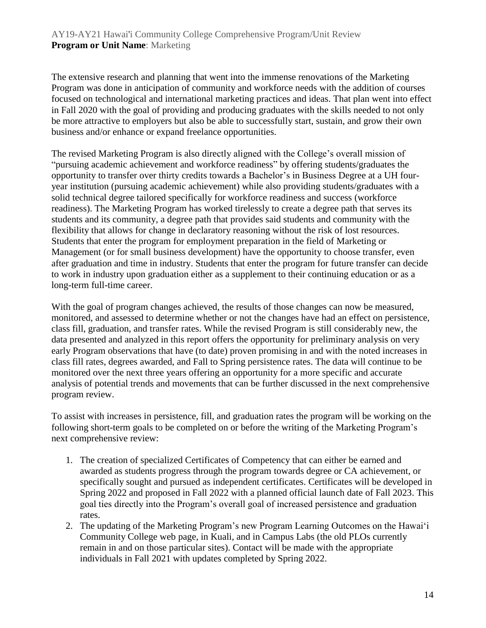The extensive research and planning that went into the immense renovations of the Marketing Program was done in anticipation of community and workforce needs with the addition of courses focused on technological and international marketing practices and ideas. That plan went into effect in Fall 2020 with the goal of providing and producing graduates with the skills needed to not only be more attractive to employers but also be able to successfully start, sustain, and grow their own business and/or enhance or expand freelance opportunities.

The revised Marketing Program is also directly aligned with the College's overall mission of "pursuing academic achievement and workforce readiness" by offering students/graduates the opportunity to transfer over thirty credits towards a Bachelor's in Business Degree at a UH fouryear institution (pursuing academic achievement) while also providing students/graduates with a solid technical degree tailored specifically for workforce readiness and success (workforce readiness). The Marketing Program has worked tirelessly to create a degree path that serves its students and its community, a degree path that provides said students and community with the flexibility that allows for change in declaratory reasoning without the risk of lost resources. Students that enter the program for employment preparation in the field of Marketing or Management (or for small business development) have the opportunity to choose transfer, even after graduation and time in industry. Students that enter the program for future transfer can decide to work in industry upon graduation either as a supplement to their continuing education or as a long-term full-time career.

With the goal of program changes achieved, the results of those changes can now be measured, monitored, and assessed to determine whether or not the changes have had an effect on persistence, class fill, graduation, and transfer rates. While the revised Program is still considerably new, the data presented and analyzed in this report offers the opportunity for preliminary analysis on very early Program observations that have (to date) proven promising in and with the noted increases in class fill rates, degrees awarded, and Fall to Spring persistence rates. The data will continue to be monitored over the next three years offering an opportunity for a more specific and accurate analysis of potential trends and movements that can be further discussed in the next comprehensive program review.

To assist with increases in persistence, fill, and graduation rates the program will be working on the following short-term goals to be completed on or before the writing of the Marketing Program's next comprehensive review:

- 1. The creation of specialized Certificates of Competency that can either be earned and awarded as students progress through the program towards degree or CA achievement, or specifically sought and pursued as independent certificates. Certificates will be developed in Spring 2022 and proposed in Fall 2022 with a planned official launch date of Fall 2023. This goal ties directly into the Program's overall goal of increased persistence and graduation rates.
- 2. The updating of the Marketing Program's new Program Learning Outcomes on the Hawaiʻi Community College web page, in Kuali, and in Campus Labs (the old PLOs currently remain in and on those particular sites). Contact will be made with the appropriate individuals in Fall 2021 with updates completed by Spring 2022.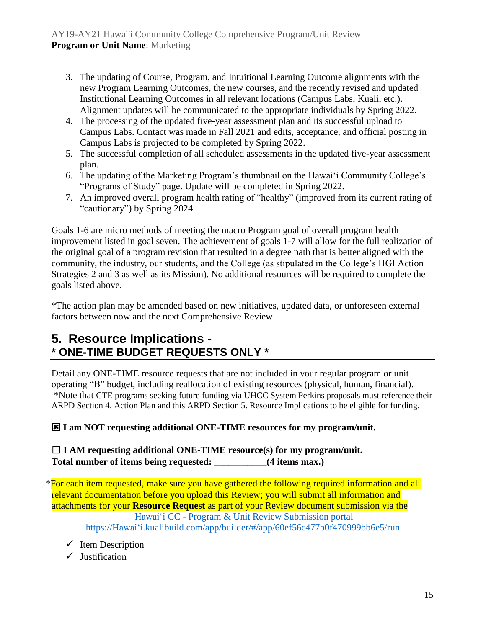- 3. The updating of Course, Program, and Intuitional Learning Outcome alignments with the new Program Learning Outcomes, the new courses, and the recently revised and updated Institutional Learning Outcomes in all relevant locations (Campus Labs, Kuali, etc.). Alignment updates will be communicated to the appropriate individuals by Spring 2022.
- 4. The processing of the updated five-year assessment plan and its successful upload to Campus Labs. Contact was made in Fall 2021 and edits, acceptance, and official posting in Campus Labs is projected to be completed by Spring 2022.
- 5. The successful completion of all scheduled assessments in the updated five-year assessment plan.
- 6. The updating of the Marketing Program's thumbnail on the Hawaiʻi Community College's "Programs of Study" page. Update will be completed in Spring 2022.
- 7. An improved overall program health rating of "healthy" (improved from its current rating of "cautionary") by Spring 2024.

Goals 1-6 are micro methods of meeting the macro Program goal of overall program health improvement listed in goal seven. The achievement of goals 1-7 will allow for the full realization of the original goal of a program revision that resulted in a degree path that is better aligned with the community, the industry, our students, and the College (as stipulated in the College's HGI Action Strategies 2 and 3 as well as its Mission). No additional resources will be required to complete the goals listed above.

\*The action plan may be amended based on new initiatives, updated data, or unforeseen external factors between now and the next Comprehensive Review.

## **5. Resource Implications - \* ONE-TIME BUDGET REQUESTS ONLY \***

Detail any ONE-TIME resource requests that are not included in your regular program or unit operating "B" budget, including reallocation of existing resources (physical, human, financial). \*Note that CTE programs seeking future funding via UHCC System Perkins proposals must reference their ARPD Section 4. Action Plan and this ARPD Section 5. Resource Implications to be eligible for funding.

#### **I am NOT requesting additional ONE-TIME resources for my program/unit.**

☐ **I AM requesting additional ONE-TIME resource(s) for my program/unit. Total number of items being requested: \_\_\_\_\_\_\_\_\_\_\_(4 items max.)**

\*For each item requested, make sure you have gathered the following required information and all relevant documentation before you upload this Review; you will submit all information and attachments for your **Resource Request** as part of your Review document submission via the Hawaiʻi CC - [Program & Unit Review Submission portal](https://hawaii.kualibuild.com/app/builder/#/app/60ef56c477b0f470999bb6e5/run) [https://Hawaiʻi.kualibuild.com/app/builder/#/app/60ef56c477b0f470999bb6e5/run](https://hawaii.kualibuild.com/app/builder/#/app/60ef56c477b0f470999bb6e5/run)

- $\checkmark$  Item Description
- $\checkmark$  Justification